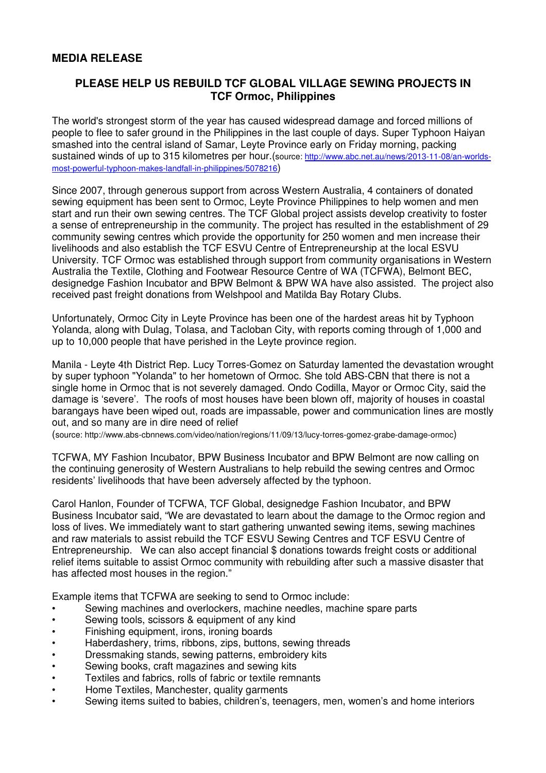## **PLEASE HELP US REBUILD TCF GLOBAL VILLAGE SEWING PROJECTS IN TCF Ormoc, Philippines**

The world's strongest storm of the year has caused widespread damage and forced millions of people to flee to safer ground in the Philippines in the last couple of days. Super Typhoon Haiyan smashed into the central island of Samar, Leyte Province early on Friday morning, packing sustained winds of up to 315 kilometres per hour.(source: http://www.abc.net.au/news/2013-11-08/an-worldsmost-powerful-typhoon-makes-landfall-in-philippines/5078216)

Since 2007, through generous support from across Western Australia, 4 containers of donated sewing equipment has been sent to Ormoc, Leyte Province Philippines to help women and men start and run their own sewing centres. The TCF Global project assists develop creativity to foster a sense of entrepreneurship in the community. The project has resulted in the establishment of 29 community sewing centres which provide the opportunity for 250 women and men increase their livelihoods and also establish the TCF ESVU Centre of Entrepreneurship at the local ESVU University. TCF Ormoc was established through support from community organisations in Western Australia the Textile, Clothing and Footwear Resource Centre of WA (TCFWA), Belmont BEC, designedge Fashion Incubator and BPW Belmont & BPW WA have also assisted. The project also received past freight donations from Welshpool and Matilda Bay Rotary Clubs.

Unfortunately, Ormoc City in Leyte Province has been one of the hardest areas hit by Typhoon Yolanda, along with Dulag, Tolasa, and Tacloban City, with reports coming through of 1,000 and up to 10,000 people that have perished in the Leyte province region.

Manila - Leyte 4th District Rep. Lucy Torres-Gomez on Saturday lamented the devastation wrought by super typhoon "Yolanda" to her hometown of Ormoc. She told ABS-CBN that there is not a single home in Ormoc that is not severely damaged. Ondo Codilla, Mayor or Ormoc City, said the damage is 'severe'. The roofs of most houses have been blown off, majority of houses in coastal barangays have been wiped out, roads are impassable, power and communication lines are mostly out, and so many are in dire need of relief

(source: http://www.abs-cbnnews.com/video/nation/regions/11/09/13/lucy-torres-gomez-grabe-damage-ormoc)

TCFWA, MY Fashion Incubator, BPW Business Incubator and BPW Belmont are now calling on the continuing generosity of Western Australians to help rebuild the sewing centres and Ormoc residents' livelihoods that have been adversely affected by the typhoon.

Carol Hanlon, Founder of TCFWA, TCF Global, designedge Fashion Incubator, and BPW Business Incubator said, "We are devastated to learn about the damage to the Ormoc region and loss of lives. We immediately want to start gathering unwanted sewing items, sewing machines and raw materials to assist rebuild the TCF ESVU Sewing Centres and TCF ESVU Centre of Entrepreneurship. We can also accept financial \$ donations towards freight costs or additional relief items suitable to assist Ormoc community with rebuilding after such a massive disaster that has affected most houses in the region."

Example items that TCFWA are seeking to send to Ormoc include:

- Sewing machines and overlockers, machine needles, machine spare parts
- Sewing tools, scissors & equipment of any kind
- Finishing equipment, irons, ironing boards
- Haberdashery, trims, ribbons, zips, buttons, sewing threads
- Dressmaking stands, sewing patterns, embroidery kits
- Sewing books, craft magazines and sewing kits
- Textiles and fabrics, rolls of fabric or textile remnants
- Home Textiles, Manchester, quality garments
- Sewing items suited to babies, children's, teenagers, men, women's and home interiors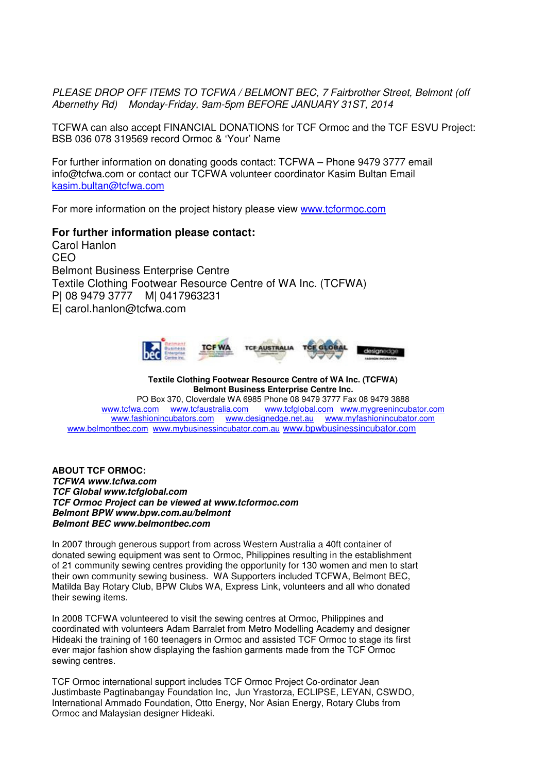PLEASE DROP OFF ITEMS TO TCFWA / BELMONT BEC, 7 Fairbrother Street, Belmont (off Abernethy Rd) Monday-Friday, 9am-5pm BEFORE JANUARY 31ST, 2014

TCFWA can also accept FINANCIAL DONATIONS for TCF Ormoc and the TCF ESVU Project: BSB 036 078 319569 record Ormoc & 'Your' Name

For further information on donating goods contact: TCFWA – Phone 9479 3777 email info@tcfwa.com or contact our TCFWA volunteer coordinator Kasim Bultan Email kasim.bultan@tcfwa.com

For more information on the project history please view www.tcformoc.com

## **For further information please contact:**

Carol Hanlon CEO Belmont Business Enterprise Centre Textile Clothing Footwear Resource Centre of WA Inc. (TCFWA) P| 08 9479 3777 M| 0417963231 E| carol.hanlon@tcfwa.com



## **Textile Clothing Footwear Resource Centre of WA Inc. (TCFWA) Belmont Business Enterprise Centre Inc.**

PO Box 370, Cloverdale WA 6985 Phone 08 9479 3777 Fax 08 9479 3888<br>www.tcfwa.com www.tcfaustralia.com www.tcfglobal.com www.mygreenincub www.tcfglobal.com www.mygreenincubator.com www.fashionincubators.com www.designedge.net.au www.myfashionincubator.com www.belmontbec.com www.mybusinessincubator.com.au www.bpwbusinessincubator.com

**ABOUT TCF ORMOC: TCFWA www.tcfwa.com TCF Global www.tcfglobal.com TCF Ormoc Project can be viewed at www.tcformoc.com Belmont BPW www.bpw.com.au/belmont Belmont BEC www.belmontbec.com** 

In 2007 through generous support from across Western Australia a 40ft container of donated sewing equipment was sent to Ormoc, Philippines resulting in the establishment of 21 community sewing centres providing the opportunity for 130 women and men to start their own community sewing business. WA Supporters included TCFWA, Belmont BEC, Matilda Bay Rotary Club, BPW Clubs WA, Express Link, volunteers and all who donated their sewing items.

In 2008 TCFWA volunteered to visit the sewing centres at Ormoc, Philippines and coordinated with volunteers Adam Barralet from Metro Modelling Academy and designer Hideaki the training of 160 teenagers in Ormoc and assisted TCF Ormoc to stage its first ever major fashion show displaying the fashion garments made from the TCF Ormoc sewing centres.

TCF Ormoc international support includes TCF Ormoc Project Co-ordinator Jean Justimbaste Pagtinabangay Foundation Inc, Jun Yrastorza, ECLIPSE, LEYAN, CSWDO, International Ammado Foundation, Otto Energy, Nor Asian Energy, Rotary Clubs from Ormoc and Malaysian designer Hideaki.